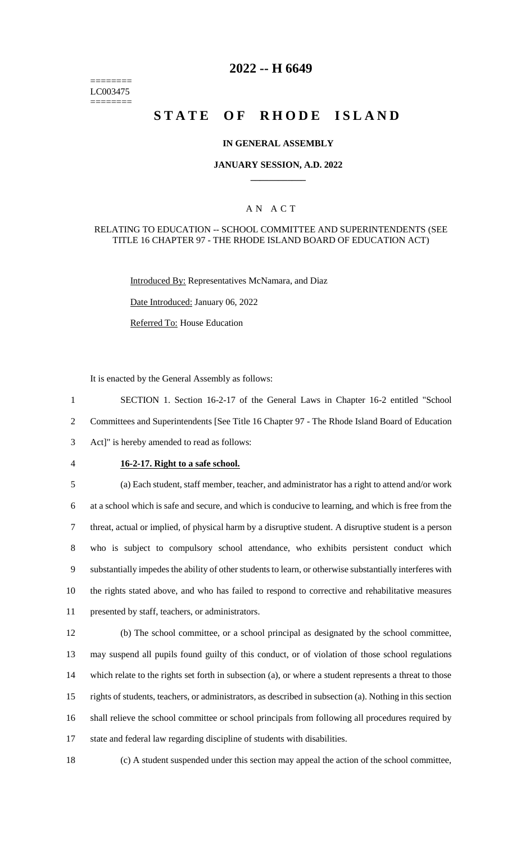======== LC003475 ========

# **2022 -- H 6649**

# **STATE OF RHODE ISLAND**

#### **IN GENERAL ASSEMBLY**

#### **JANUARY SESSION, A.D. 2022 \_\_\_\_\_\_\_\_\_\_\_\_**

### A N A C T

#### RELATING TO EDUCATION -- SCHOOL COMMITTEE AND SUPERINTENDENTS (SEE TITLE 16 CHAPTER 97 - THE RHODE ISLAND BOARD OF EDUCATION ACT)

Introduced By: Representatives McNamara, and Diaz

Date Introduced: January 06, 2022

Referred To: House Education

It is enacted by the General Assembly as follows:

1 SECTION 1. Section 16-2-17 of the General Laws in Chapter 16-2 entitled "School 2 Committees and Superintendents [See Title 16 Chapter 97 - The Rhode Island Board of Education 3 Act]" is hereby amended to read as follows:

## 4 **16-2-17. Right to a safe school.**

 (a) Each student, staff member, teacher, and administrator has a right to attend and/or work at a school which is safe and secure, and which is conducive to learning, and which is free from the threat, actual or implied, of physical harm by a disruptive student. A disruptive student is a person who is subject to compulsory school attendance, who exhibits persistent conduct which substantially impedes the ability of other students to learn, or otherwise substantially interferes with the rights stated above, and who has failed to respond to corrective and rehabilitative measures presented by staff, teachers, or administrators.

 (b) The school committee, or a school principal as designated by the school committee, may suspend all pupils found guilty of this conduct, or of violation of those school regulations which relate to the rights set forth in subsection (a), or where a student represents a threat to those rights of students, teachers, or administrators, as described in subsection (a). Nothing in this section shall relieve the school committee or school principals from following all procedures required by state and federal law regarding discipline of students with disabilities.

18 (c) A student suspended under this section may appeal the action of the school committee,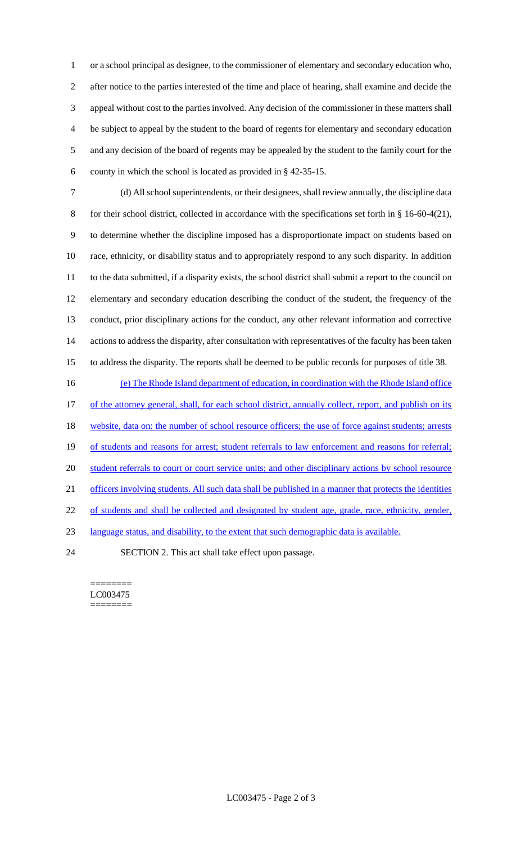or a school principal as designee, to the commissioner of elementary and secondary education who, after notice to the parties interested of the time and place of hearing, shall examine and decide the appeal without cost to the parties involved. Any decision of the commissioner in these matters shall be subject to appeal by the student to the board of regents for elementary and secondary education and any decision of the board of regents may be appealed by the student to the family court for the county in which the school is located as provided in § 42-35-15.

 (d) All school superintendents, or their designees, shall review annually, the discipline data for their school district, collected in accordance with the specifications set forth in § 16-60-4(21), to determine whether the discipline imposed has a disproportionate impact on students based on race, ethnicity, or disability status and to appropriately respond to any such disparity. In addition to the data submitted, if a disparity exists, the school district shall submit a report to the council on elementary and secondary education describing the conduct of the student, the frequency of the conduct, prior disciplinary actions for the conduct, any other relevant information and corrective actions to address the disparity, after consultation with representatives of the faculty has been taken to address the disparity. The reports shall be deemed to be public records for purposes of title 38.

16 (e) The Rhode Island department of education, in coordination with the Rhode Island office 17 of the attorney general, shall, for each school district, annually collect, report, and publish on its 18 website, data on: the number of school resource officers; the use of force against students; arrests 19 of students and reasons for arrest; student referrals to law enforcement and reasons for referral; 20 student referrals to court or court service units; and other disciplinary actions by school resource 21 officers involving students. All such data shall be published in a manner that protects the identities of students and shall be collected and designated by student age, grade, race, ethnicity, gender, language status, and disability, to the extent that such demographic data is available. SECTION 2. This act shall take effect upon passage.

======== LC003475

========